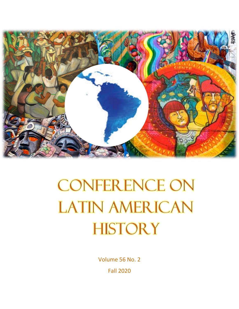

# **CONFERENCE ON LATIN AMERICAN HISTORY**

Volume 56 No. 2 Fall 2020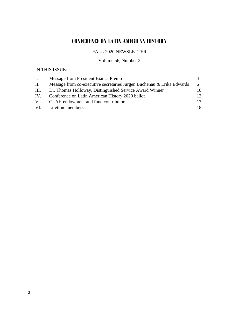# **CONFERENCE ON LATIN AMERICAN HISTORY**

# FALL 2020 NEWSLETTER

# Volume 56, Number 2

# IN THIS ISSUE:

| $\mathbf{I}$ . | Message from President Bianca Premo                                   |                 |
|----------------|-----------------------------------------------------------------------|-----------------|
| П.             | Message from co-executive secretaries Jurgen Buchenau & Erika Edwards | $6\overline{6}$ |
|                | III. Dr. Thomas Holloway, Distinguished Service Award Winner          | 10              |
| IV.            | Conference on Latin American History 2020 ballot                      | 12              |
|                | V. CLAH endowment and fund contributors                               | 17              |
|                | VI. Lifetime members                                                  | 18              |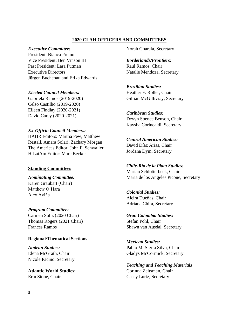#### **2020 CLAH OFFICERS AND COMMITTEES**

#### *Executive Committee:*

President: Bianca Premo Vice President: Ben Vinson III Past President: Lara Putman Executive Directors: Jürgen Buchenau and Erika Edwards

#### *Elected Council Members:*

Gabriela Ramos (2019-2020) Celso Castilho (2019-2020) Eileen Findlay (2020-2021) David Carey (2020-2021)

#### *Ex-Officio Council Members:*

HAHR Editors: Martha Few, Matthew Restall, Amara Solari, Zachary Morgan The Americas Editor: John F. Schwaller H-LatAm Editor: Marc Becker

#### **Standing Committees**

#### *Nominating Committee:* Karen Graubart (Chair) Matthew O'Hara Alex Aviña

#### *Program Committee:*

Carmen Soliz (2020 Chair) Thomas Rogers (2021 Chair) Frances Ramos

#### **Regional/Thematical Sections**

*Andean Studies:* Elena McGrath, Chair Nicole Pacino, Secretary

**Atlantic World Studies:** Erin Stone, Chair

Norah Gharala, Secretary

*Borderlands/Frontiers:* Raul Ramos, Chair Natalie Mendoza, Secretary

*Brazilian Studies:* Heather F. Roller, Chair Gillian McGillivray, Secretary

# *Caribbean Studies:*

Devyn Spence Benson, Chair Kaysha Corinealdi, Secretary

*Central American Studies:* David Díaz Arias, Chair Jordana Dym, Secretary

# *Chile-Río de la Plata Studies:*

Marian Schlotterbeck, Chair Maria de los Angeles Picone, Secretary

#### *Colonial Studies:*

Alcira Dueñas, Chair Adriana Chira, Secretary

# *Gran Colombia Studies:*

Stefan Pohl, Chair Shawn van Ausdal, Secretary

*Mexican Studies:* Pablo M. Sierra Silva, Chair Gladys McCormick, Secretary

*Teaching and Teaching Materials* Corinna Zeltsman, Chair Casey Lurtz, Secretary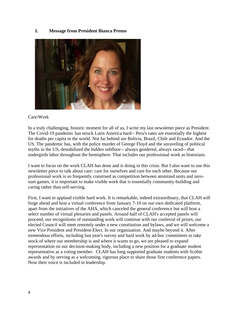#### **I. Message from President Bianca Premo**



#### Care/Work

In a truly challenging, historic moment for all of us, I write my last newsletter piece as President. The Covid-19 pandemic has struck Latin America hard-- Peru's rates are essentially the highest for deaths per capita in the world. Not far behind are Bolivia, Brazil, Chile and Ecuador. And the US. The pandemic has, with the police murder of George Floyd and the unraveling of political myths in the US, destabilized the hidden subfloor-- always gendered, always raced-- that undergirds labor throughout the hemisphere. That includes our professional work as historians.

I want to focus on the work CLAH has done and is doing in this crisis. But I also want to use this newsletter piece to talk about care: care for ourselves and care for each other. Because our professional work is so frequently construed as competition between atomized units and zerosum games, it is important to make visible work that is essentially community-building and caring rather than self-serving.

First, I want to applaud visible hard work. It is remarkable, indeed extraordinary, that CLAH will forge ahead and host a virtual conference from January 7-10 on our own dedicated platform, apart from the initiatives of the AHA, which canceled the general conference but will host a select number of virtual plenaries and panels. Around half of CLAH's accepted panels will proceed, our recognitions of outstanding work will continue with our conferral of prizes, our elected Council will meet remotely under a new constitution and bylaws, and we will welcome a new Vice President and President-Elect. In our organization. And maybe beyond it. After tremendous efforts, including last year's survey and hard work by ad-hoc committees to take stock of where our membership is and where it wants to go, we are pleased to expand representation on our decision-making body, including a new position for a graduate student representative as a voting member. CLAH has long supported graduate students with Scobie awards and by serving as a welcoming, rigorous place to share those first conference papers. Now their voice is included in leadership.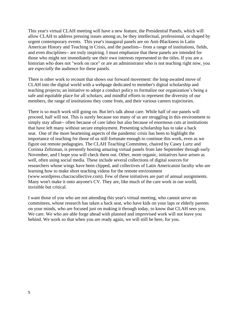This year's virtual CLAH meeting will have a new feature, the Presidential Panels, which will allow CLAH to address pressing issues among us, be they intellectual, professional, or shaped by urgent contemporary events. This year's inaugural panels are on Anti-Blackness in Latin American History and Teaching in Crisis, and the panelists-- from a range of institutions, fields, and even disciplines-- are truly inspiring. I must emphasize that these panels are intended for those who might not immediately see their own interests represented in the titles. If you are a historian who does not "work on race" or are an administrator who is not teaching right now, you are *especially* the audience for these panels.

There is other work to recount that shows our forward movement: the long-awaited move of CLAH into the digital world with a webpage dedicated to member's digital scholarship and teaching projects; an initiative to adopt a conduct policy to formalize our organization's being a safe and equitable place for all scholars; and mindful efforts to represent the diversity of our members, the range of institutions they come from, and their various careers trajectories.

There is so much work still going on. But let's talk about care. While half of our panels will proceed, half will not. This is surely because too many of us are struggling in this environment to simply stay afloat-- often because of care labor but also because of enormous cuts at institutions that have left many without secure employment. Presenting scholarship has to take a back seat. One of the more heartening aspects of the pandemic crisis has been to highlight the importance of teaching for those of us still fortunate enough to continue this work, even as we figure out remote pedagogies. The CLAH Teaching Committee, chaired by Casey Lurtz and Corinna Zeltzman, is presently hosting amazing virtual panels from late September through early November, and I hope you will check them out. Other, more organic, initiatives have arisen as well, often using social media. These include several collections of digital sources for researchers whose wings have been clipped, and collectives of Latin Americanist faculty who are learning how to make short teaching videos for the remote environment (www.wordpress.chacracollective.com). Few of these initiatives are part of annual assignments. Many won't make it onto anyone's CV. They are, like much of the care work in our world, invisible but critical.

I want those of you who are not attending this year's virtual meeting, who cannot serve on committees, whose research has taken a back seat, who have kids on your laps or elderly parents on your minds, who are focused just on making it through today, to know that CLAH sees you. We care. We who are able forge ahead with planned and improvised work will not leave you behind. We work so that when you are ready again, we will still be here, for you.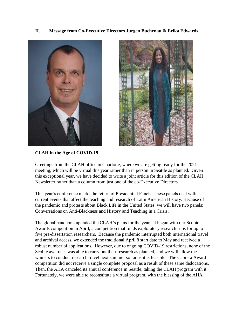**II. Message from Co-Executive Directors Jurgen Buchenau & Erika Edwards**





**CLAH in the Age of COVID-19**

Greetings from the CLAH office in Charlotte, where we are getting ready for the 2021 meeting, which will be virtual this year rather than in person in Seattle as planned. Given this exceptional year, we have decided to write a joint article for this edition of the CLAH Newsletter rather than a column from just one of the co-Executive Directors.

This year's conference marks the return of Presidential Panels. These panels deal with current events that affect the teaching and research of Latin American History. Because of the pandemic and protests about Black Life in the United States, we will have two panels: Conversations on Anti-Blackness and History and Teaching in a Crisis.

The global pandemic upended the CLAH's plans for the year. It began with our Scobie Awards competition in April, a competition that funds exploratory research trips for up to five pre-dissertation researchers. Because the pandemic interrupted both international travel and archival access, we extended the traditional April 8 start date to May and received a robust number of applications. However, due to ongoing COVID-19 restrictions, none of the Scobie awardees was able to carry out their research as planned, and we will allow the winners to conduct research travel next summer so far as it is feasible. The Cabrera Award competition did not receive a single complete proposal as a result of these same dislocations. Then, the AHA canceled its annual conference in Seattle, taking the CLAH program with it. Fortunately, we were able to reconstitute a virtual program, with the blessing of the AHA,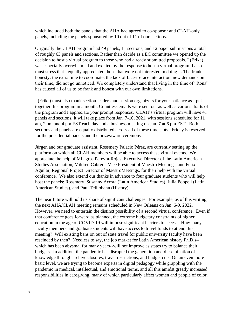which included both the panels that the AHA had agreed to co-sponsor and CLAH-only panels, including the panels sponsored by 10 out of 11 of our sections.

Originally the CLAH program had 49 panels, 11 sections, and 12 paper submissions a total of roughly 63 panels and sections. Rather than decide as a EC committee we opened up the decision to host a virtual program to those who had already submitted proposals. I (Erika) was especially overwhelmed and excited by the response to host a virtual program. I also must stress that I equally appreciated those that were not interested in doing it. The frank honesty: the extra time to coordinate, the lack of face-to-face interaction, new demands on their time, did not go unnoticed. We completely understand that living in the time of "Rona" has caused all of us to be frank and honest with our own limitations.

I (Erika) must also thank section leaders and session organizers for your patience as I put together this program in a month. Countless emails were sent out as well as various drafts of the program and I appreciate your prompt responses. CLAH's virtual program will have 41 panels and sections. It will take place from Jan. 7-10, 2021, with sessions scheduled for 11 am, 2 pm and 4 pm EST each day and a business meeting on Jan. 7 at 6 pm EST. Both sections and panels are equally distributed across all of these time slots. Friday is reserved for the presidential panels and the prize/award ceremony.

Jürgen and our graduate assistant, Rossmery Palacio Pérez, are currently setting up the platform on which all CLAH members will be able to access these virtual events. We appreciate the help of Milagros Pereyra-Rojas, Executive Director of the Latin American Studies Association, Mildred Cabrera, Vice President of Maestro Meetings, and Felix Aguilar, Regional Project Director of MaestroMeetings, for their help with the virtual conference. We also extend our thanks in advance to four graduate students who will help host the panels: Rossmery, Susanny Acosta (Latin American Studies), Julia Poppell (Latin American Studies), and Paul Telljohann (History).

The near future will hold its share of significant challenges. For example, as of this writing, the next AHA/CLAH meeting remains scheduled in New Orleans on Jan. 6-9, 2022. However, we need to entertain the distinct possibility of a second virtual conference. Even if that conference goes forward as planned, the extreme budgetary constraints of higher education in the age of COVID-19 will impose significant barriers to access. How many faculty members and graduate students will have access to travel funds to attend this meeting? Will existing bans on out of state travel for public university faculty have been rescinded by then? Needless to say, the job market for Latin American history Ph.D.s- which has been abysmal for many years--will not improve as states try to balance their budgets. In addition, the pandemic has disrupted the generation and dissemination of knowledge through archive closures, travel restrictions, and budget cuts. On an even more basic level, we are trying to become experts in digital pedagogy while grappling with the pandemic in medical, intellectual, and emotional terms, and all this amidst greatly increased responsibilities in caregiving, many of which particularly affect women and people of color.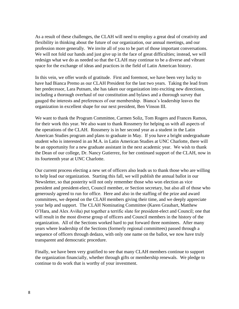As a result of these challenges, the CLAH will need to employ a great deal of creativity and flexibility in thinking about the future of our organization, our annual meetings, and our profession more generally. We invite all of you to be part of those important conversations. We will not fold our hands and just give up in the face of great difficulties; instead, we will redesign what we do as needed so that the CLAH may continue to be a diverse and vibrant space for the exchange of ideas and practices in the field of Latin American history.

In this vein, we offer words of gratitude. First and foremost, we have been very lucky to have had Bianca Premo as our CLAH President for the last two years. Taking the lead from her predecessor, Lara Putnam, she has taken our organization into exciting new directions, including a thorough overhaul of our constitution and bylaws and a thorough survey that gauged the interests and preferences of our membership. Bianca's leadership leaves the organization in excellent shape for our next president, Ben Vinson III.

We want to thank the Program Committee, Carmen Soliz, Tom Rogers and Frances Ramos, for their work this year. We also want to thank Rossmery for helping us with all aspects of the operations of the CLAH. Rossmery is in her second year as a student in the Latin American Studies program and plans to graduate in May. If you have a bright undergraduate student who is interested in an M.A. in Latin American Studies at UNC Charlotte, there will be an opportunity for a new graduate assistant in the next academic year. We wish to thank the Dean of our college, Dr. Nancy Gutierrez, for her continued support of the CLAH, now in its fourteenth year at UNC Charlotte.

Our current process electing a new set of officers also leads us to thank those who are willing to help lead our organization. Starting this fall, we will publish the annual ballot in our Newsletter, so that posterity will not only remember those who won election as vice president and president-elect, Council member, or Section secretary, but also all of those who generously agreed to run for office. Here and also in the staffing of the prize and award committees, we depend on the CLAH members giving their time, and we deeply appreciate your help and support. The CLAH Nominating Committee (Karen Graubart, Matthew O'Hara, and Alex Aviña) put together a terrific slate for president-elect and Council; one that will result in the most diverse group of officers and Council members in the history of the organization. All of the Sections worked hard to put forward three nominees. After many years where leadership of the Sections (formerly regional committees) passed through a sequence of officers through dedazo, with only one name on the ballot, we now have truly transparent and democratic procedure.

Finally, we have been very gratified to see that many CLAH members continue to support the organization financially, whether through gifts or membership renewals. We pledge to continue to do work that is worthy of your investment.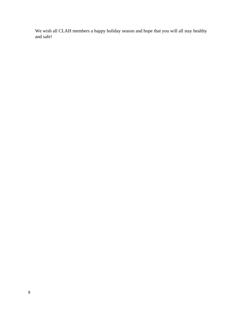We wish all CLAH members a happy holiday season and hope that you will all stay healthy and safe!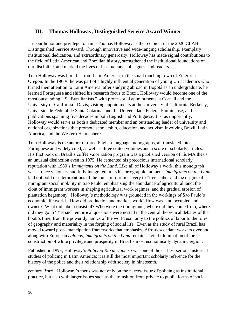# **III. Thomas Holloway, Distinguished Service Award Winner**

It is our honor and privilege to name Thomas Holloway as the recipient of the 2020 CLAH Distinguished Service Award. Through innovative and wide-ranging scholarship, exemplary institutional dedication, and extraordinary generosity, Holloway has made signal contributions to the field of Latin American and Brazilian history, strengthened the institutional foundations of our discipline, and marked the lives of his students, colleagues, and readers.

Tom Holloway was born far from Latin America, in the small ranching town of Enterprise, Oregon. In the 1960s, he was part of a highly influential generation of young US academics who turned their attention to Latin America; after studying abroad in Bogotá as an undergraduate, he learned Portuguese and shifted his research focus to Brazil. Holloway would become one of the most outstanding US "Brazilianists," with professorial appointments at Cornell and the University of California - Davis; visiting appointments at the University of California-Berkeley, Universidade Federal de Santa Catarina, and the Universidade Federal Fluminense; and publications spanning five decades in both English and Portuguese. Just as importantly, Holloway would serve as both a dedicated member and an outstanding leader of university and national organizations that promote scholarship, education, and activism involving Brazil, Latin America, and the Western Hemisphere.

Tom Holloway is the author of three English-language monographs, all translated into Portuguese and widely cited, as well as three edited volumes and a score of scholarly articles. His first book on Brazil's coffee valorization program was a published version of his MA thesis, an unusual distinction even in 1975. He cemented his precocious international scholarly reputation with 1980's *Immigrants on the Land*. Like all of Holloway's work, this monograph was at once visionary and fully integrated in its historiographic moment. *Immigrants on the Land*  laid out bold re-interpretations of the transition from slavery to "free" labor and the origins of immigrant social mobility in São Paulo, emphasizing the abundance of agricultural land, the clout of immigrant workers in shaping agricultural work regimes, and the gradual erosion of plantation hegemony. Holloway's methodology was grounded in the workings of São Paulo's economic life worlds. How did production and markets work? How was land occupied and owned? What did labor consist of? Who were the immigrants, where did they come from, where did they go to? Yet such empirical questions were nested in the central theoretical debates of the book's time, from the power dynamics of the world economy to the politics of labor to the roles of geography and materiality in the forging of social life. Even as the study of rural Brazil has moved toward post-emancipation frameworks that emphasize Afro-descendant workers over and along with European *colonos*, *Immigrants on the Land* remains a vital illumination of the construction of white privilege and prosperity in Brazil's most economically dynamic region.

Published in 1993, Holloway's *Policing Rio de Janeiro* was one of the earliest serious historical studies of policing in Latin America; it is still the most important scholarly reference for the history of the police and their relationship with society in nineteenth.

century Brazil. Holloway's focus was not only on the narrow issue of policing as institutional practice, but also with larger issues such as the transition from private to public forms of social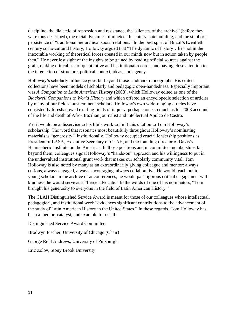discipline, the dialectic of repression and resistance, the "silences of the archive" (before they were thus described), the racial dynamics of nineteenth century state building, and the stubborn persistence of "traditional hierarchical social relations." In the best spirit of Brazil's twentieth century socio-cultural history, Holloway argued that "The dynamic of history…lies not in the inexorable working of theoretical forces created in our minds now but in action taken by people then." He never lost sight of the insights to be gained by reading official sources against the grain, making critical use of quantitative and institutional records, and paying close attention to the interaction of structure, political context, ideas, and agency.

Holloway's scholarly influence goes far beyond those landmark monographs. His edited collections have been models of scholarly and pedagogic open-handedness. Especially important was *A Companion to Latin American History* (2008), which Holloway edited as one of the *Blackwell Companions to World History* and which offered an encyclopedic selection of articles by many of our field's most eminent scholars. Holloway's own wide-ranging articles have consistently foreshadowed exciting fields of inquiry, perhaps none so much as his 2008 account of the life and death of Afro-Brazilian journalist and intellectual Apulco de Castro.

Yet it would be a disservice to his life's work to limit this citation to Tom Holloway's scholarship. The word that resonates most beautifully throughout Holloway's nominating materials is "generosity." Institutionally, Holloway occupied crucial leadership positions as President of LASA, Executive Secretary of CLAH, and the founding director of Davis's Hemispheric Institute on the Americas. In those positions and in committee memberships far beyond them, colleagues signal Holloway's "hands-on" approach and his willingness to put in the undervalued institutional grunt work that makes our scholarly community vital. Tom Holloway is also noted by many as an extraordinarily giving colleague and mentor: always curious, always engaged, always encouraging, always collaborative. He would reach out to young scholars in the archive or at conferences, he would pair rigorous critical engagement with kindness, he would serve as a "fierce advocate." In the words of one of his nominators, "Tom brought his generosity to everyone in the field of Latin American History."

The CLAH Distinguished Service Award is meant for those of our colleagues whose intellectual, pedagogical, and institutional work "evidences significant contributions to the advancement of the study of Latin American History in the United States." In these regards, Tom Holloway has been a mentor, catalyst, and example for us all.

Distinguished Service Award Committee:

Brodwyn Fischer, University of Chicago (Chair)

George Reid Andrews, University of Pittsburgh

Eric Zolov, Stony Brook University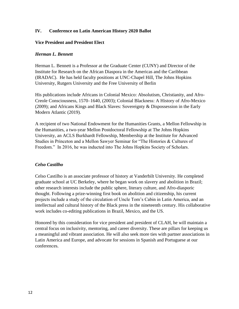# **IV. Conference on Latin American History 2020 Ballot**

#### **Vice President and President Elect**

#### *Herman L. Bennett*

Herman L. Bennett is a Professor at the Graduate Center (CUNY) and Director of the Institute for Research on the African Diaspora in the Americas and the Caribbean (IRADAC). He has held faculty positions at UNC-Chapel Hill, The Johns Hopkins University, Rutgers University and the Free University of Berlin

His publications include Africans in Colonial Mexico: Absolutism, Christianity, and Afro-Creole Consciousness, 1570–1640, (2003); Colonial Blackness: A History of Afro-Mexico (2009); and Africans Kings and Black Slaves: Sovereignty & Dispossession in the Early Modern Atlantic (2019).

A recipient of two National Endowment for the Humanities Grants, a Mellon Fellowship in the Humanities, a two-year Mellon Postdoctoral Fellowship at The Johns Hopkins University, an ACLS Burkhardt Fellowship, Membership at the Institute for Advanced Studies in Princeton and a Mellon Sawyer Seminar for "The Histories & Cultures of Freedom." In 2016, he was inducted into The Johns Hopkins Society of Scholars.

#### *Celso Castilho*

Celso Castilho is an associate professor of history at Vanderbilt University. He completed graduate school at UC Berkeley, where he began work on slavery and abolition in Brazil; other research interests include the public sphere, literary culture, and Afro-diasporic thought. Following a prize-winning first book on abolition and citizenship, his current projects include a study of the circulation of Uncle Tom's Cabin in Latin America, and an intellectual and cultural history of the Black press in the nineteenth century. His collaborative work includes co-editing publications in Brazil, Mexico, and the US.

Honored by this consideration for vice president and president of CLAH, he will maintain a central focus on inclusivity, mentoring, and career diversity. These are pillars for keeping us a meaningful and vibrant association. He will also seek more ties with partner associations in Latin America and Europe, and advocate for sessions in Spanish and Portuguese at our conferences.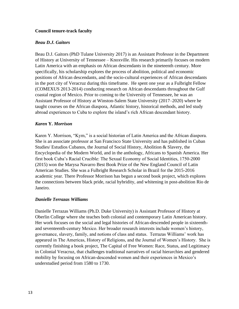# **Council tenure-track faculty**

#### *Beau D.J. Gaitors*

Beau D.J. Gaitors (PhD Tulane University 2017) is an Assistant Professor in the Department of History at University of Tennessee – Knoxville. His research primarily focuses on modern Latin America with an emphasis on African descendants in the nineteenth century. More specifically, his scholarship explores the process of abolition, political and economic positions of African descendants, and the socio-cultural experiences of African descendants in the port city of Veracruz during this timeframe. He spent one year as a Fulbright Fellow (COMEXUS 2013-2014) conducting research on African descendants throughout the Gulf coastal region of Mexico. Prior to coming to the University of Tennessee, he was an Assistant Professor of History at Winston-Salem State University (2017–2020) where he taught courses on the African diaspora, Atlantic history, historical methods, and led study abroad experiences to Cuba to explore the island's rich African descendant history.

#### *Karen* **Y.** *Morrison*

Karen Y. Morrison, "Kym," is a social historian of Latin America and the African diaspora. She is an associate professor at San Francisco State University and has published in Cuban Studies/ Estudios Cubanos, the Journal of Social History, Abolition & Slavery, the Encyclopedia of the Modern World, and in the anthology, Africans to Spanish America. Her first book Cuba's Racial Crucible: The Sexual Economy of Social Identities, 1750-2000 (2015) won the Marysa Navarro Best Book Prize of the New England Council of Latin American Studies. She was a Fulbright Research Scholar in Brazil for the 2015-2016 academic year. There Professor Morrison has begun a second book project, which explores the connections between black pride, racial hybridity, and whitening in post-abolition Rio de Janeiro.

# *Danielle Terrazas Williams*

Danielle Terrazas Williams (Ph.D. Duke University) is Assistant Professor of History at Oberlin College where she teaches both colonial and contemporary Latin American history. Her work focuses on the social and legal histories of African-descended people in sixteenthand seventeenth-century Mexico. Her broader research interests include women's history, governance, slavery, family, and notions of class and status. Terrazas Williams' work has appeared in The Americas, History of Religions, and the Journal of Women's History. She is currently finishing a book project, The Capital of Free Women: Race, Status, and Legitimacy in Colonial Veracruz, that challenges traditional narratives of racial hierarchies and gendered mobility by focusing on African-descended women and their experiences in Mexico's understudied period from 1580 to 1730.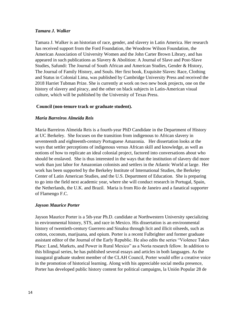#### *Tamara J. Walker*

Tamara J. Walker is an historian of race, gender, and slavery in Latin America. Her research has received support from the Ford Foundation, the Woodrow Wilson Foundation, the American Association of University Women and the John Carter Brown Library, and has appeared in such publications as Slavery & Abolition: A Journal of Slave and Post-Slave Studies, Safundi: The Journal of South African and American Studies, Gender & History, The Journal of Family History, and Souls. Her first book, Exquisite Slaves: Race, Clothing and Status in Colonial Lima, was published by Cambridge University Press and received the 2018 Harriet Tubman Prize. She is currently at work on two new book projects, one on the history of slavery and piracy, and the other on black subjects in Latin-American visual culture, which will be published by the University of Texas Press.

#### **Council (non-tenure track or graduate student).**

#### *Maria Barreiros Almeida Reis*

Maria Barreiros Almeida Reis is a fourth-year PhD Candidate in the Department of History at UC Berkeley. She focuses on the transition from indigenous to African slavery in seventeenth and eighteenth-century Portuguese Amazonia. Her dissertation looks at the ways that settler perceptions of indigenous versus African skill and knowledge, as well as notions of how to replicate an ideal colonial project, factored into conversations about who should be enslaved. She is thus interested in the ways that the institution of slavery did more work than just labor for Amazonian colonists and settlers in the Atlantic World at large. Her work has been supported by the Berkeley Institute of International Studies, the Berkeley Center of Latin American Studies, and the U.S. Department of Education. She is preparing to go into the field next academic year, where she will conduct research in Portugal, Spain, the Netherlands, the U.K. and Brazil. Maria is from Rio de Janeiro and a fanatical supporter of Flamengo F.C.

# *Jayson Maurice Porter*

Jayson Maurice Porter is a 5th-year Ph.D. candidate at Northwestern University specializing in environmental history, STS, and race in Mexico. His dissertation is an environmental history of twentieth-century Guerrero and Sinaloa through licit and illicit oilseeds, such as cotton, coconuts, marijuana, and opium. Porter is a recent Fulbrighter and former graduate assistant editor of the Journal of the Early Republic. He also edits the series "Violence Takes Place: Land, Markets, and Power in Rural Mexico" as a Noria research fellow. In addition to this bilingual series, he has published several essays and articles in both languages. As the inaugural graduate student member of the CLAH Council, Porter would offer a creative voice in the promotion of historical learning. Along with his appreciable social media presence, Porter has developed public history content for political campaigns, la Unión Popular 28 de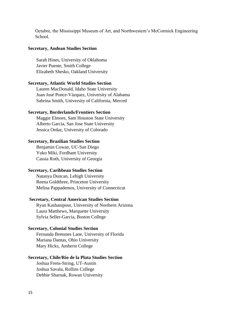Octubre, the Mississippi Museum of Art, and Northwestern's McCormick Engineering School.

#### **Secretary, Andean Studies Section**

Sarah Hines, University of Oklahoma Javier Puente, Smith College Elizabeth Shesko, Oakland University

#### **Secretary, Atlantic World Studies Section**

Lauren MacDonald, Idaho State University Juan José Ponce-Vázquez, University of Alabama Sabrina Smith, University of California, Merced

#### **Secretary, Borderlands/Frontiers Section**

Maggie Elmore, Sam Houston State University Alberto Garcia, San Jose State University Jessica Ordaz, University of Colorado

#### **Secretary, Brazilian Studies Section**

Benjamin Cowan, UC-San Diego Yuko Miki, Fordham University Cassia Roth, University of Georgia

#### **Secretary, Caribbean Studies Section**

Natanya Duncan, Lehigh University Reena Goldthree, Princeton University Melina Pappademos, University of Connecticut

#### **Secretary, Central American Studies Section**

Ryan Kashanipour, University of Northern Arizona Laura Matthews, Marquette University Sylvia Seller-Garcia, Boston College

#### **Secretary, Colonial Studies Section**

Fernanda Bretones Lane, University of Florida Mariana Dantas, Ohio University Mary Hicks, Amherst College

#### **Secretary, Chile/Río de la Plata Studies Section**

Joshua Frens-String, UT-Austin Joshua Savala, Rollins College Debbie Sharnak, Rowan University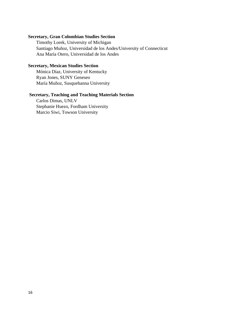# **Secretary, Gran Colombian Studies Section**

Timothy Lorek, University of Michigan Santiago Muñoz, Universidad de los Andes/University of Connecticut Ana María Otero, Universidad de los Andes

#### **Secretary, Mexican Studies Section**

Mónica Díaz, University of Kentucky Ryan Jones, SUNY Geneseo María Muñoz, Susquehanna University

# **Secretary, Teaching and Teaching Materials Section**

Carlos Dimas, UNLV Stephanie Huezo, Fordham University Marcio Siwi, Towson University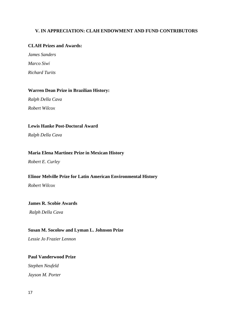# **V. IN APPRECIATION: CLAH ENDOWMENT AND FUND CONTRIBUTORS**

# **CLAH Prizes and Awards:**

*James Sanders Marco Siwi Richard Turits*

#### **Warren Dean Prize in Brazilian History:**

*Ralph Della Cava Robert Wilcox*

# **Lewis Hanke Post-Doctoral Award**

*Ralph Della Cava*

#### **Maria Elena Martinez Prize in Mexican History**

*Robert E. Curley*

# **Elinor Melville Prize for Latin American Environmental History**

*Robert Wilcox*

#### **James R. Scobie Awards**

*Ralph Della Cava*

#### **Susan M. Socolow and Lyman L. Johnson Prize**

*Lessie Jo Frazier Lennon*

# **Paul Vanderwood Prize**

*Stephen Neufeld Jayson M. Porter*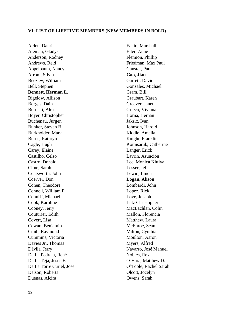#### **VI: LIST OF LIFETIME MEMBERS (NEW MEMBERS IN BOLD)**

Alden, Dauril Aleman, Gladys Anderson, Rodney Andrews, Reid Appelbaum, Nancy Arrom, Silvia Beezley, William Bell, Stephen **Bennett, Herman L.** Bigelow, Allison Borges, Dain Borucki, Alex Boyer, Christopher Buchenau, Jurgen Bunker, Steven B. Burkholder, Mark Burns, Kathryn Cagle, Hugh Carey, Elaine Castilho, Celso Castro, Donald Cline, Sarah Coatsworth, John Coerver, Don Cohen, Theodore Connell, William F. Conniff, Michael Cook, Karoline Cooney, Jerry Couturier, Edith Covert, Lisa Cowan, Benjamin Craib, Raymond Cummins, Victoria Davies Jr., Thomas Dávila, Jerry De La Pedraja, René De La Teja, Jesús F. De La Torre Curiel, Jose Delson, Roberta Duenas, Alcira

Eakin, Marshall Eller, Anne Flemion, Phillip Friedman, Max Paul Ganster, Paul **Gao, Jian** Garrett, David Gonzales, Michael Gram, Bill Graubart, Karen Greever, Janet Grieco, Viviana Horna, Hernan Jaksic, Ivan Johnson, Harold Kiddle, Amelia Knight, Franklin Komisaruk, Catherine Langer, Erick Lavrin, Asunción Lee, Monica Kittiya Lesser, Jeff Lewin, Linda **Logan, Alison** Lombardi, John Lopez, Rick Love, Joseph Lutz Christopher MacLachlan, Colin Mallon, Florencia Matthew, Laura McEnroe, Sean Milton, Cynthia Moulton, Aaron Myers, Alfred Navarro, José Manuel Nobles, Rex O'Hara, Matthew D. O'Toole, Rachel Sarah Olcott, Jocelyn Owens, Sarah